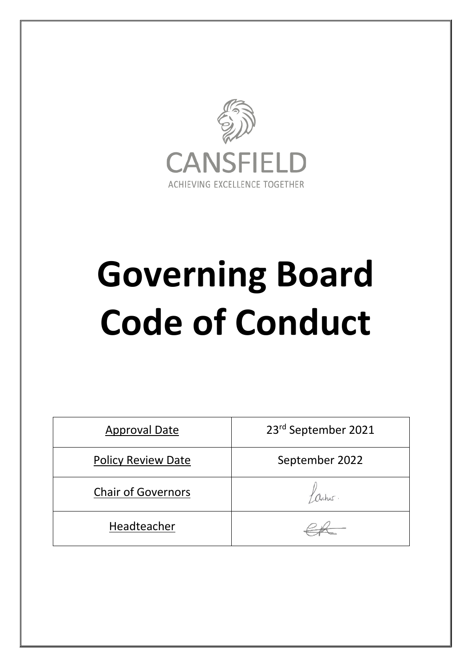

# **Governing Board Code of Conduct**

| <b>Approval Date</b>      | 23rd September 2021 |
|---------------------------|---------------------|
| <b>Policy Review Date</b> | September 2022      |
| <b>Chair of Governors</b> |                     |
| Headteacher               |                     |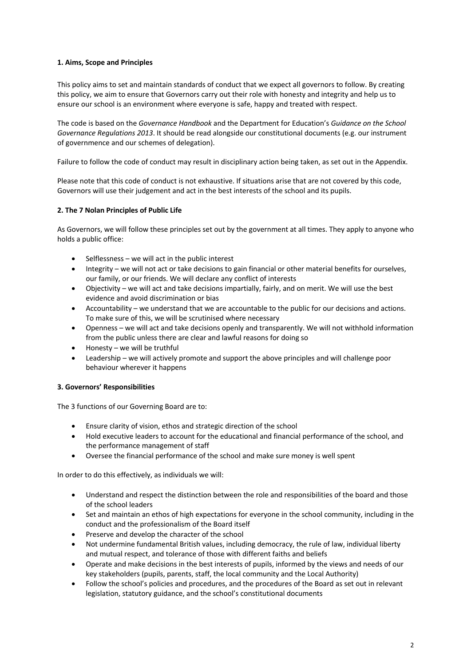# **1. Aims, Scope and Principles**

This policy aims to set and maintain standards of conduct that we expect all governors to follow. By creating this policy, we aim to ensure that Governors carry out their role with honesty and integrity and help us to ensure our school is an environment where everyone is safe, happy and treated with respect.

The code is based on the *Governance Handbook* and the Department for Education's *Guidance on the School Governance Regulations 2013*. It should be read alongside our constitutional documents (e.g. our instrument of governmence and our schemes of delegation).

Failure to follow the code of conduct may result in disciplinary action being taken, as set out in the Appendix.

Please note that this code of conduct is not exhaustive. If situations arise that are not covered by this code, Governors will use their judgement and act in the best interests of the school and its pupils.

# **2. The 7 Nolan Principles of Public Life**

As Governors, we will follow these principles set out by the government at all times. They apply to anyone who holds a public office:

- Selflessness  $-$  we will act in the public interest
- Integrity we will not act or take decisions to gain financial or other material benefits for ourselves, our family, or our friends. We will declare any conflict of interests
- Objectivity we will act and take decisions impartially, fairly, and on merit. We will use the best evidence and avoid discrimination or bias
- Accountability we understand that we are accountable to the public for our decisions and actions. To make sure of this, we will be scrutinised where necessary
- Openness we will act and take decisions openly and transparently. We will not withhold information from the public unless there are clear and lawful reasons for doing so
- Honesty we will be truthful
- Leadership we will actively promote and support the above principles and will challenge poor behaviour wherever it happens

### **3. Governors' Responsibilities**

The 3 functions of our Governing Board are to:

- Ensure clarity of vision, ethos and strategic direction of the school
- Hold executive leaders to account for the educational and financial performance of the school, and the performance management of staff
- Oversee the financial performance of the school and make sure money is well spent

In order to do this effectively, as individuals we will:

- Understand and respect the distinction between the role and responsibilities of the board and those of the school leaders
- Set and maintain an ethos of high expectations for everyone in the school community, including in the conduct and the professionalism of the Board itself
- Preserve and develop the character of the school
- Not undermine fundamental British values, including democracy, the rule of law, individual liberty and mutual respect, and tolerance of those with different faiths and beliefs
- Operate and make decisions in the best interests of pupils, informed by the views and needs of our key stakeholders (pupils, parents, staff, the local community and the Local Authority)
- Follow the school's policies and procedures, and the procedures of the Board as set out in relevant legislation, statutory guidance, and the school's constitutional documents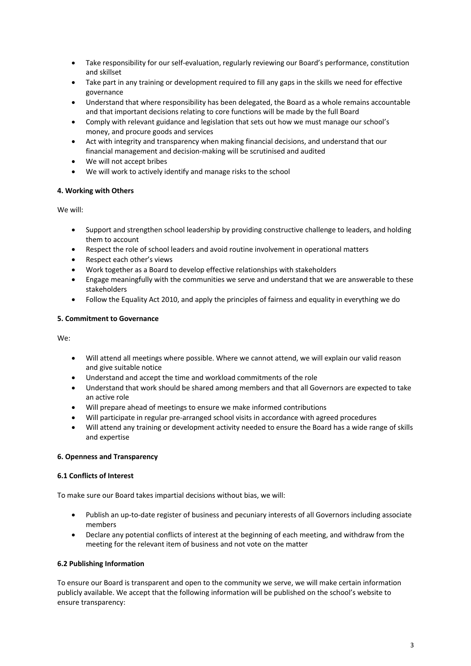- Take responsibility for our self-evaluation, regularly reviewing our Board's performance, constitution and skillset
- Take part in any training or development required to fill any gaps in the skills we need for effective governance
- Understand that where responsibility has been delegated, the Board as a whole remains accountable and that important decisions relating to core functions will be made by the full Board
- Comply with relevant guidance and legislation that sets out how we must manage our school's money, and procure goods and services
- Act with integrity and transparency when making financial decisions, and understand that our financial management and decision-making will be scrutinised and audited
- We will not accept bribes
- We will work to actively identify and manage risks to the school

# **4. Working with Others**

We will:

- Support and strengthen school leadership by providing constructive challenge to leaders, and holding them to account
- Respect the role of school leaders and avoid routine involvement in operational matters
- Respect each other's views
- Work together as a Board to develop effective relationships with stakeholders
- Engage meaningfully with the communities we serve and understand that we are answerable to these stakeholders
- Follow the Equality Act 2010, and apply the principles of fairness and equality in everything we do

# **5. Commitment to Governance**

We:

- Will attend all meetings where possible. Where we cannot attend, we will explain our valid reason and give suitable notice
- Understand and accept the time and workload commitments of the role
- Understand that work should be shared among members and that all Governors are expected to take an active role
- Will prepare ahead of meetings to ensure we make informed contributions
- Will participate in regular pre-arranged school visits in accordance with agreed procedures
- Will attend any training or development activity needed to ensure the Board has a wide range of skills and expertise

### **6. Openness and Transparency**

### **6.1 Conflicts of Interest**

To make sure our Board takes impartial decisions without bias, we will:

- Publish an up-to-date register of business and pecuniary interests of all Governors including associate members
- Declare any potential conflicts of interest at the beginning of each meeting, and withdraw from the meeting for the relevant item of business and not vote on the matter

### **6.2 Publishing Information**

To ensure our Board is transparent and open to the community we serve, we will make certain information publicly available. We accept that the following information will be published on the school's website to ensure transparency: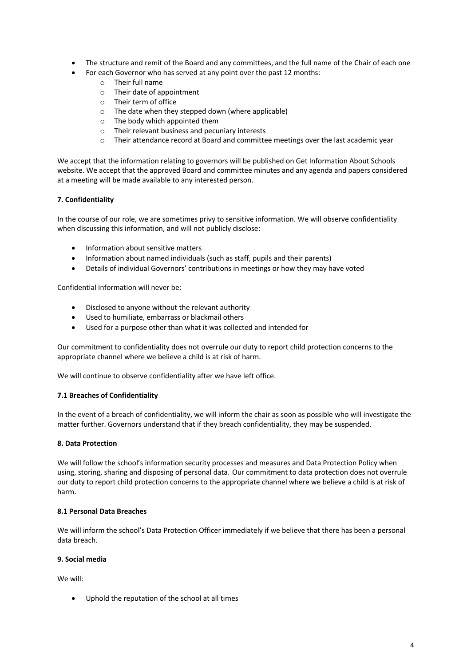- The structure and remit of the Board and any committees, and the full name of the Chair of each one
- For each Governor who has served at any point over the past 12 months:
	- o Their full name
	- o Their date of appointment
	- o Their term of office
	- o The date when they stepped down (where applicable)
	- o The body which appointed them
	- o Their relevant business and pecuniary interests
	- o Their attendance record at Board and committee meetings over the last academic year

We accept that the information relating to governors will be published on Get Information About Schools website. We accept that the approved Board and committee minutes and any agenda and papers considered at a meeting will be made available to any interested person.

# **7. Confidentiality**

In the course of our role, we are sometimes privy to sensitive information. We will observe confidentiality when discussing this information, and will not publicly disclose:

- Information about sensitive matters
- Information about named individuals (such as staff, pupils and their parents)
- Details of individual Governors' contributions in meetings or how they may have voted

Confidential information will never be:

- Disclosed to anyone without the relevant authority
- Used to humiliate, embarrass or blackmail others
- Used for a purpose other than what it was collected and intended for

Our commitment to confidentiality does not overrule our duty to report child protection concerns to the appropriate channel where we believe a child is at risk of harm.

We will continue to observe confidentiality after we have left office.

### **7.1 Breaches of Confidentiality**

In the event of a breach of confidentiality, we will inform the chair as soon as possible who will investigate the matter further. Governors understand that if they breach confidentiality, they may be suspended.

### **8. Data Protection**

We will follow the school's information security processes and measures and Data Protection Policy when using, storing, sharing and disposing of personal data. Our commitment to data protection does not overrule our duty to report child protection concerns to the appropriate channel where we believe a child is at risk of harm.

### **8.1 Personal Data Breaches**

We will inform the school's Data Protection Officer immediately if we believe that there has been a personal data breach.

### **9. Social media**

We will:

• Uphold the reputation of the school at all times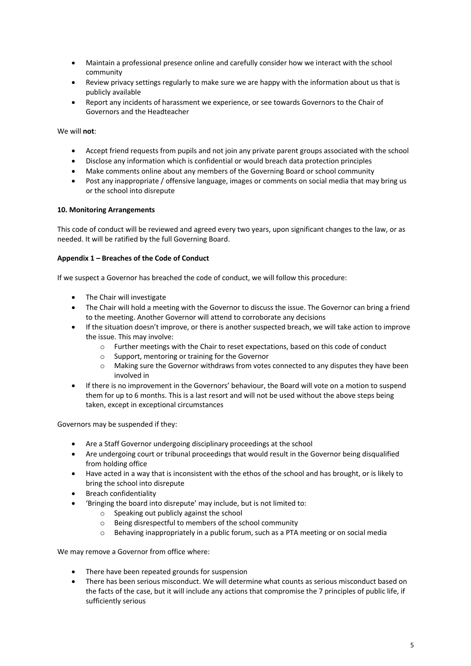- Maintain a professional presence online and carefully consider how we interact with the school community
- Review privacy settings regularly to make sure we are happy with the information about us that is publicly available
- Report any incidents of harassment we experience, or see towards Governors to the Chair of Governors and the Headteacher

We will **not**:

- Accept friend requests from pupils and not join any private parent groups associated with the school
- Disclose any information which is confidential or would breach data protection principles
- Make comments online about any members of the Governing Board or school community
- Post any inappropriate / offensive language, images or comments on social media that may bring us or the school into disrepute

# **10. Monitoring Arrangements**

This code of conduct will be reviewed and agreed every two years, upon significant changes to the law, or as needed. It will be ratified by the full Governing Board.

### **Appendix 1 – Breaches of the Code of Conduct**

If we suspect a Governor has breached the code of conduct, we will follow this procedure:

- The Chair will investigate
- The Chair wilI hold a meeting with the Governor to discuss the issue. The Governor can bring a friend to the meeting. Another Governor will attend to corroborate any decisions
- If the situation doesn't improve, or there is another suspected breach, we will take action to improve the issue. This may involve:
	- o Further meetings with the Chair to reset expectations, based on this code of conduct
	- o Support, mentoring or training for the Governor
	- $\circ$  Making sure the Governor withdraws from votes connected to any disputes they have been involved in
- If there is no improvement in the Governors' behaviour, the Board will vote on a motion to suspend them for up to 6 months. This is a last resort and will not be used without the above steps being taken, except in exceptional circumstances

Governors may be suspended if they:

- Are a Staff Governor undergoing disciplinary proceedings at the school
- Are undergoing court or tribunal proceedings that would result in the Governor being disqualified from holding office
- Have acted in a way that is inconsistent with the ethos of the school and has brought, or is likely to bring the school into disrepute
- Breach confidentiality
- 'Bringing the board into disrepute' may include, but is not limited to:
	- o Speaking out publicly against the school
	- o Being disrespectful to members of the school community
	- $\circ$  Behaving inappropriately in a public forum, such as a PTA meeting or on social media

We may remove a Governor from office where:

- There have been repeated grounds for suspension
- There has been serious misconduct. We will determine what counts as serious misconduct based on the facts of the case, but it will include any actions that compromise the 7 principles of public life, if sufficiently serious